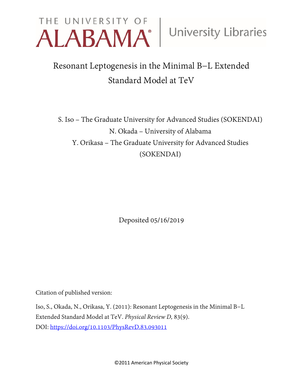# THE UNIVERSITY OF University Libraries

# Resonant Leptogenesis in the Minimal B−L Extended Standard Model at TeV

S. Iso – The Graduate University for Advanced Studies (SOKENDAI) N. Okada – University of Alabama Y. Orikasa – The Graduate University for Advanced Studies (SOKENDAI)

Deposited 05/16/2019

Citation of published version:

Iso, S., Okada, N., Orikasa, Y. (2011): Resonant Leptogenesis in the Minimal B−L Extended Standard Model at TeV. *Physical Review D,* 83(9). DOI:<https://doi.org/10.1103/PhysRevD.83.093011>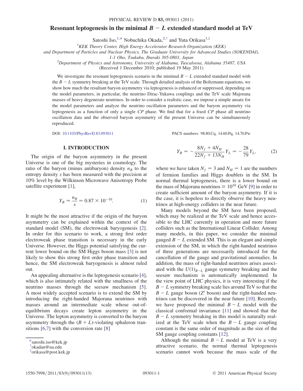# Resonant leptogenesis in the minimal  $B-L$  extended standard model at TeV

Satoshi Iso, <sup>1[,\\*](#page-1-0)</sup> Nobuchika Okada, <sup>2[,†](#page-1-1)</sup> and Yuta Orikasa<sup>1,[‡](#page-1-2)</sup>

<sup>1</sup>KEK Theory Center, High Energy Accelerator Research Organization (KEK)

<span id="page-1-3"></span>and Department of Particles and Nuclear Physics, The Graduate University for Advanced Studies (SOKENDAI),

1-1 Oho, Tsukuba, Ibaraki 305-0801, Japan <sup>2</sup> Department of Physics and Astronomy, University of Alabama, Tuscaloosa, Alabama 35487, USA

(Received 1 December 2010; published 19 May 2011)

We investigate the resonant leptogenesis scenario in the minimal  $B - L$  extended standard model with the  $B - L$  symmetry breaking at the TeV scale. Through detailed analysis of the Boltzmann equations, we show how much the resultant baryon asymmetry via leptogenesis is enhanced or suppressed, depending on the model parameters, in particular, the neutrino Dirac-Yukawa couplings and the TeV scale Majorana masses of heavy degenerate neutrinos. In order to consider a realistic case, we impose a simple ansatz for the model parameters and analyze the neutrino oscillation parameters and the baryon asymmetry via leptogenesis as a function of only a single  $CP$  phase. We find that for a fixed  $CP$  phase all neutrino oscillation data and the observed baryon asymmetry of the present Universe can be simultaneously reproduced.

DOI: [10.1103/PhysRevD.83.093011](http://dx.doi.org/10.1103/PhysRevD.83.093011) PACS numbers: 98.80.Cq, 14.60.Pq, 14.70.Pw

#### I. INTRODUCTION

The origin of the baryon asymmetry in the present Universe is one of the big mysteries in cosmology. The ratio of the baryon (minus antibaryon) density  $n_B$  to the entropy density s has been measured with the precision at 10% level by the Wilkinson Microwave Anisotropy Probe satellite experiment [\[1\]](#page-12-0),

$$
Y_B = \frac{n_B}{s} = 0.87 \times 10^{-10}.
$$
 (1)

It might be the most attractive if the origin of the baryon asymmetry can be explained within the context of the standard model (SM), the electroweak baryogenesis [[2\]](#page-12-1). In order for this scenario to work, a strong first order electroweak phase transition is necessary in the early Universe. However, the Higgs potential satisfying the current lower bound on the SM Higgs boson mass [\[3](#page-12-2)] is not likely to show this strong first order phase transition and hence, the SM electroweak baryogenesis is almost ruled out.

An appealing alternative is the leptogenesis scenario [[4\]](#page-12-3), which is also intimately related with the smallness of the neutrino masses through the seesaw mechanism [[5\]](#page-12-4). A most widely accepted scenario is to extend the SM by introducing the right-handed Majorana neutrinos with masses around an intermediate scale whose out-ofequilibrium decays create lepton asymmetry in the Universe. The lepton asymmetry is converted to the baryon asymmetry through the  $(B + L)$ -violating sphaleron transitions [[6](#page-12-5),[7\]](#page-12-6) with the conversion rate [[8](#page-12-7)]

$$
Y_B = -\frac{8N_f + 4N_H}{22N_f + 13N_H}Y_L = -\frac{28}{79}Y_L, \tag{2}
$$

where we have taken  $N_f = 3$  and  $N_H = 1$  are the numbers of fermion families and Higgs doublets in the SM. In normal thermal leptogenesis, there is a lower bound on the mass of Majorana neutrinos  $\geq 10^{10}$  GeV [\[9\]](#page-12-8) in order to create sufficient amount of the baryon asymmetry. If it is the case, it is hopeless to directly observe the heavy neutrinos at high-energy colliders in the near future.

Many models beyond the SM have been proposed, which may be realized at the TeV scale and hence accessible to the LHC currently in operation and more future colliders such as the International Linear Collider. Among many models, in this paper, we consider the minimal gauged  $B - L$  extended SM. This is an elegant and simple extension of the SM, in which the right-handed neutrinos of three generations are necessarily introduced for the cancellation of the gauge and gravitational anomalies. In addition, the mass of right-handed neutrinos arises associated with the  $U(1)_{B-L}$  gauge symmetry breaking and the seesaw mechanism is automatically implemented. In the view point of LHC physics, it is very interesting if the  $B - L$  symmetry breaking scale lies around TeV so that the  $B - L$  gauge boson (Z' boson) and the right-handed neutrinos can be discovered in the near future [\[10\]](#page-12-9). Recently, we have proposed the minimal  $B - L$  model with the classical conformal invariance [\[11\]](#page-12-10) and showed that the  $B - L$  symmetry breaking in this model is naturally realized at the TeV scale when the  $B - L$  gauge coupling constant is the same order of magnitude as the size of the SM gauge coupling constants [\[12\]](#page-12-11).

Although the minimal  $B - L$  model at TeV is a very attractive scenario, the normal thermal leptogenesis scenario cannot work because the mass scale of the

<span id="page-1-0"></span>[<sup>\\*</sup>s](#page-1-3)atoshi.iso@kek.jp

<span id="page-1-1"></span>[<sup>†</sup>](#page-1-3) okadan@ua.edu

<span id="page-1-2"></span>[<sup>‡</sup>](#page-1-3) orikasa@post.kek.jp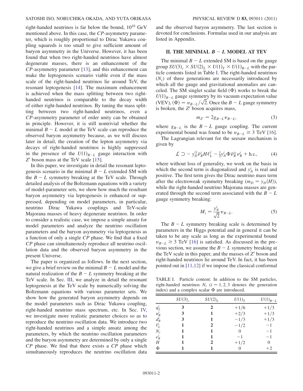#### SATOSHI ISO, NOBUCHIKA OKADA, AND YUTA ORIKASA PHYSICAL REVIEW D 83, 093011 (2011)

right-handed neutrinos is far below the bound,  $10^{10}$  GeV mentioned above. In this case, the CP-asymmetry parameter, which is roughly proportional to Dirac Yukawa coupling squareds is too small to give sufficient amount of baryon asymmetry in the Universe. However, it has been found that when two right-handed neutrinos have almost degenerate masses, there is an enhancement of the CP-asymmetry parameter [[13](#page-12-12)], and this enhancement can make the leptogenesis scenario viable even if the mass scale of the right-handed neutrinos lie around TeV, the resonant leptogenesis [\[14\]](#page-12-13). The maximum enhancement is achieved when the mass splitting between two righthanded neutrinos is comparable to the decay width of either right-handed neutrinos. By tuning the mass splitting between two right-handed neutrinos, even a CP-asymmetry parameter of order unity can be obtained in principle. However, it is still nontrivial whether the minimal  $B - L$  model at the TeV scale can reproduce the observed baryon asymmetry because, as we will discuss later in detail, the creation of the lepton asymmetry via decays of right-handed neutrinos is highly suppressed in the presence of the  $U(1)_{B-L}$  gauge interaction with  $Z'$  boson mass at the TeV scale [\[15\]](#page-12-14).

In this paper, we investigate in detail the resonant leptogenesis scenario in the minimal  $B - L$  extended SM with the  $B - L$  symmetry breaking at the TeV scale. Through detailed analysis of the Boltzmann equations with a variety of model-parameter sets, we show how much the resultant baryon asymmetry via leptogenesis is enhanced or suppressed, depending on model parameters, in particular, neutrino Dirac Yukawa couplings and TeV-scale Majorana masses of heavy degenerate neutrinos. In order to consider a realistic case, we impose a simple ansatz for model parameters and analyze the neutrino oscillation parameters and the baryon asymmetry via leptogenesis as a function of only a single CP phase. We find that a fixed CP phase can simultaneously reproduce all neutrino oscillation data and the observed baryon asymmetry in the present Universe.

The paper is organized as follows. In the next section, we give a brief review on the minimal  $B - L$  model and the natural realization of the  $B - L$  symmetry breaking at the TeV scale. In Sec. [III](#page-3-0), we analyze in detail the resonant leptogenesis at the TeV scale by numerically solving the Boltzmann equations with various parameter sets. We show how the generated baryon asymmetry depends on the model parameters such as Dirac Yukawa coupling, right-handed neutrino mass spectrum, etc. In Sec. [IV,](#page-7-0) we investigate more realistic parameter choices so as to reproduce the neutrino oscillation data. We introduce two right-handed neutrinos and a simple ansatz among the parameters, by which the neutrino oscillation parameters and the baryon asymmetry are determined by only a single CP phase. We find that there exists a CP phase which simultaneously reproduces the neutrino oscillation data and the observed baryon asymmetry. The last section is devoted for conclusions. Formulas used in our analysis are listed in Appendix.

#### II. THE MINIMAL  $B - L$  MODEL AT TEV

The minimal  $B - L$  extended SM is based on the gauge group  $SU(3)_c \times SU(2)_L \times U(1)_Y \times U(1)_{B-L}$  with the particle contents listed in Table [I.](#page-2-0) The right-handed neutrinos  $(N<sub>i</sub>)$  of three generations are necessarily introduced by which all the gauge and gravitational anomalies are canceled. The SM singlet scalar field  $(\Phi)$  works to break the  $U(1)_{B-L}$  gauge symmetry by its vacuum expectation value (VEV),  $\langle \Phi \rangle = v_{B-L}/\sqrt{2}$ . Once the  $B - L$  gauge symmetry is broken, the  $Z'$  boson acquires mass,

$$
m_{Z'} = 2g_{B-L}v_{B-L}, \t\t(3)
$$

where  $g_{B-L}$  is the  $B-L$  gauge coupling. The current experimental bound was found to be  $v_{B-L} \ge 3$  TeV [\[16\]](#page-12-15).

The Lagrangian relevant for the seesaw mechanism is given by

$$
\mathcal{L} \supset -y_D^{ij} \bar{\nu}_R^i H \ell_L^j - \frac{1}{2} y_N^i \Phi \bar{\nu}_R^{ic} \nu_R^i + \text{h.c.}, \tag{4}
$$

where without loss of generality, we work on the basis in which the second term is diagonalized and  $y_N^i$  is real and positive. The first term gives the Dirac neutrino mass term after the electroweak symmetry breaking  $(m_D = y_D \langle H \rangle)$ , while the right-handed neutrino Majorana masses are generated through the second term associated with the  $B - L$ gauge symmetry breaking:

$$
M_i = \frac{y_N^i}{\sqrt{2}} v_{B-L}.
$$
\n<sup>(5)</sup>

The  $B - L$  symmetry breaking scale is determined by parameters in the Higgs potential and in general it can be taken to be any scale as long as the experimental bound  $v_{B-L} \ge 3$  TeV [\[16\]](#page-12-15) is satisfied. As discussed in the previous section, we assume the  $B - L$  symmetry breaking at the TeV scale in this paper, and the masses of  $Z<sup>'</sup>$  boson and right-handed neutrinos lie around TeV. In fact, it has been pointed out in [[11,](#page-12-10)[12](#page-12-11)] if we impose the classical conformal

<span id="page-2-0"></span>TABLE I. Particle content: In addition to the SM particles, right-handed neutrinos  $N_i$  ( $i = 1, 2, 3$  denotes the generation index) and a complex scalar  $\Phi$  are introduced.

|                                                         | $SU(3)_c$ | SU(2) <sub>L</sub> | $U(1)_Y$ | $U(1)_{B-L}$   |
|---------------------------------------------------------|-----------|--------------------|----------|----------------|
| $q_L^i$                                                 | 3         | 2                  | $+1/6$   | $+1/3$         |
| $u_R^i$                                                 | 3         |                    | $+2/3$   | $+1/3$         |
| $\begin{array}{c} \ddot{d_R^i} \\ \ell_L^i \end{array}$ | 3         |                    | $-1/3$   | $+1/3$         |
|                                                         |           | 2                  | $-1/2$   | $-1$           |
| $N_i$                                                   |           |                    | $\Omega$ | $-1$           |
| $e_R^i$                                                 |           |                    | $-1$     | $-1$           |
| H                                                       |           | 2                  | $+1/2$   | $\overline{0}$ |
| Φ                                                       |           |                    |          | $+2$           |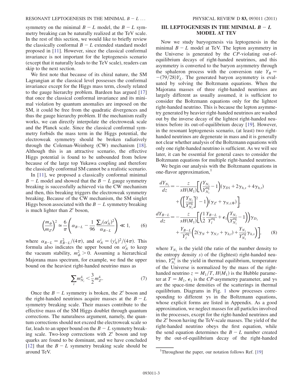symmetry on the minimal  $B - L$  model, the  $B - L$  symmetry breaking can be naturally realized at the TeV scale. In the rest of this section, we would like to briefly review the classically conformal  $B - L$  extended standard model proposed in [\[11\]](#page-12-10). However, since the classical conformal invariance is not important for the leptogenesis scenario (except that it naturally leads to the TeV scale), readers can skip to the next section.

We first note that because of its chiral nature, the SM Lagrangian at the classical level possesses the conformal invariance except for the Higgs mass term, closely related to the gauge hierarchy problem. Bardeen has argued [\[17\]](#page-12-16) that once the classical conformal invariance and its minimal violation by quantum anomalies are imposed on the SM, it could be free from the quadratic divergences and thus the gauge hierarchy problem. If the mechanism really works, we can directly interpolate the electroweak scale and the Planck scale. Since the classical conformal symmetry forbids the mass term in the Higgs potential, the electroweak symmetry should be broken radiatively through the Coleman-Weinberg (CW) mechanism [\[18\]](#page-13-0). Although this is an attractive scenario, the effective Higgs potential is found to be unbounded from below because of the large top Yukawa coupling and therefore the classically conformal SM cannot be a realistic scenario.

In [[11](#page-12-10)], we proposed a classically conformal minimal  $B - L$  model and showed that the  $B - L$  gauge symmetry breaking is successfully achieved via the CW mechanism and then, this breaking triggers the electroweak symmetry breaking. Because of the CW mechanism, the SM singlet Higgs boson associated with the  $B - L$  symmetry breaking is much lighter than  $Z'$  boson,

$$
\left(\frac{m_{\phi}}{m_{Z'}}\right)^2 \simeq \frac{6}{\pi} \left(\alpha_{B-L} - \frac{1}{96} \frac{\sum_i (\alpha_N^i)^2}{\alpha_{B-L}}\right) \ll 1,\qquad(6)
$$

where  $\alpha_{B-L} = g_{B-L}^2/(4\pi)$ , and  $\alpha_N^i = (y_N^i)^2/(4\pi)$ . This formula also indicates the upper bound on  $\alpha_N^i$  to keep the vacuum stability,  $m_{\phi}^2 > 0$ . Assuming a hierarchical Majorana mass spectrum, for example, we find the upper bound on the heaviest right-handed neutrino mass as

$$
\sum_{i} m_{N_i}^4 < \frac{3}{2} m_{Z'}^4.
$$
 (7)

Once the  $B - L$  symmetry is broken, the Z' boson and the right-handed neutrinos acquire masses at the  $B - L$ symmetry breaking scale. Their masses contribute to the effective mass of the SM Higgs doublet through quantum corrections. The naturalness argument, namely, the quantum corrections should not exceed the electroweak scale so far, leads to an upper bound on the  $B - L$  symmetry breaking scale. Two-loop corrections with  $Z<sup>1</sup>$  boson and top quarks are found to be dominant, and we have concluded [\[12\]](#page-12-11) that the  $B - L$  symmetry breaking scale should be around TeV.

# <span id="page-3-0"></span>III. LEPTOGENESIS IN THE MINIMAL  $B-L$ MODEL AT TEV

Now we study baryogenesis via leptogenesis in the minimal  $B - L$  model at TeV. The lepton asymmetry in the Universe is generated by the CP-violating out-ofequilibrium decays of right-handed neutrinos, and this asymmetry is converted to the baryon asymmetry through the sphaleron process with the conversion rate  $Y_B =$  $-(79/28)Y_L$ . The generated baryon asymmetry is evaluated by solving the Boltzmann equations. When the Majorana masses of three right-handed neutrinos are largely different as usually assumed, it is sufficient to consider the Boltzmann equations only for the lightest right-handed neutrino. This is because the lepton asymmetry generated by heavier right-handed neutrinos are washed out by the inverse decay of the lightest right-handed neutrinos before its out-of-equilibrium decay [[19](#page-13-1)]. However, in the resonant leptogenesis scenario, (at least) two righthanded neutrinos are degenerate in mass and it is generally not clear whether analysis of the Boltzmann equations with only one right-handed neutrino is sufficient. As we will see later, it can be essential for general cases to consider the Boltzmann equations for multiple right-handed neutrinos.

We begin our analysis with the Boltzmann equations in one-flavor approximation,<sup>1</sup>

<span id="page-3-1"></span>
$$
\frac{dY_{N_1}}{dz} = -\frac{z}{sH(M_1)} \Bigg[ \Big(\frac{Y_{N_1}}{Y_{N_1}^{eq}} - 1\Big) (\gamma_{D1} + 2\gamma_{h,s} + 4\gamma_{h,t}) \n+ \Big(\Big[\frac{Y_{N_1}}{Y_{N_1}^{eq}}\Big]^2 - 1\Big) (\gamma_{Z'} + \gamma_{N,t,\Phi}) \Bigg], \n\frac{dY_{B-L}}{dz} = -\frac{z}{sH(M_1)} \Bigg[ \Big(\frac{1}{2} \frac{Y_{B-L}}{Y_1^{eq}} + \epsilon_1 \Big(\frac{Y_{N_1}}{Y_{N_1}^{eq}} - 1\Big) \Big) \gamma_{D_1} \n+ \frac{Y_{B-L}}{Y_1^{eq}} \Big( 2(\gamma_N + \gamma_{N,t} + \gamma_{h,t}) + \frac{Y_{N_1}}{Y_{N_1}^{eq}} \gamma_{h,s} \Big) \Bigg],
$$
\n(8)

where  $Y_{N_1}$  is the yield (the ratio of the number density to the entropy density  $s$ ) of the (lightest) right-handed neutrino,  $Y_{N_1}^{eq}$  is the yield in thermal equilibrium, temperature of the Universe is normalized by the mass of the righthanded neutrino  $z = M_1/T$ ,  $H(M_1)$  is the Hubble parameter at  $T = M_1$ ,  $\epsilon_1$  is the CP-asymmetry parameter, and  $\gamma s$ are the space-time densities of the scatterings in thermal equilibrium. Diagrams in Fig. [1](#page-4-0) show processes corresponding to different  $\gamma$ s in the Boltzmann equations, whose explicit forms are listed in Appendix. As a good approximation, we neglect masses for all particles involved in the processes, except for the right-handed neutrinos and the  $Z'$  boson having the TeV-scale masses. The yield of the right-handed neutrino obeys the first equation, while the send equation determines the  $B - L$  number created by the out-of-equilibrium decay of the right-handed

<sup>&</sup>lt;sup>1</sup>Throughout the paper, our notation follows Ref. [[19](#page-13-1)]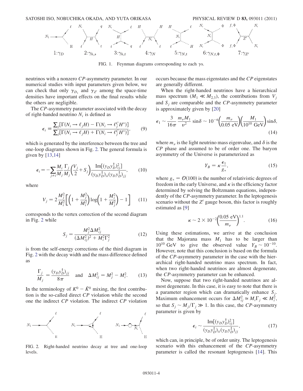<span id="page-4-0"></span>SATOSHI ISO, NOBUCHIKA OKADA, AND YUTA ORIKASA PHYSICAL REVIEW D 83, 093011 (2011)



FIG. 1. Feynman diagrams corresponding to each  $\gamma s$ .

neutrinos with a nonzero CP-asymmetry parameter. In our numerical studies with input parameters given below, we can check that only  $\gamma_{D_1}$  and  $\gamma_{Z'}$  among the space-time densities have important effects on the final results while the others are negligible.

The CP-asymmetry parameter associated with the decay of right-handed neutrino  $N_i$  is defined as

$$
\epsilon_i = \frac{\sum_j [\Gamma(N_i \to \ell_j H) - \Gamma(N_i \to \ell_j^c H^*)]}{\sum_j [\Gamma(N_i \to \ell_j H) + \Gamma(N_i \to \ell_j^c H^*)]},\qquad(9)
$$

which is generated by the interference between the tree and one-loop diagrams shown in Fig. [2.](#page-4-1) The general formula is given by  $[13,14]$  $[13,14]$  $[13,14]$  $[13,14]$  $[13,14]$ 

$$
\epsilon_i = -\sum_{j \neq i} \frac{M_i}{M_j} \frac{\Gamma_j}{M_j} \left(\frac{V_j}{2} + S_j\right) \frac{\text{Im}[(y_D y_D^{\dagger})_{ij}^2]}{(y_D y_D^{\dagger})_{ii} (y_D y_D^{\dagger})_{jj}},\tag{10}
$$

where

$$
V_j = 2\frac{M_j^2}{M_i^2} \left[ \left( 1 + \frac{M_j^2}{M_i^2} \right) \log \left( 1 + \frac{M_i^2}{M_j^2} \right) - 1 \right] \tag{11}
$$

corresponds to the vertex correction of the second diagram in Fig. [2](#page-4-1) while

$$
S_j = \frac{M_j^2 \Delta M_{ij}^2}{(\Delta M_{ij}^2)^2 + M_i^2 \Gamma_j^2}
$$
 (12)

is from the self-energy corrections of the third diagram in Fig. [2](#page-4-1) with the decay width and the mass difference defined as

$$
\frac{\Gamma_j}{M_j} = \frac{(y_D y_D^{\dagger})_{jj}}{8\pi} \quad \text{and} \quad \Delta M_{ij}^2 = M_j^2 - M_i^2. \tag{13}
$$

In the terminology of  $K^0 - \bar{K}^0$  mixing, the first contribution is the so-called direct CP violation while the second one the indirect CP violation. The indirect CP violation

<span id="page-4-1"></span>

FIG. 2. Right-handed neutrino decay at tree and one-loop levels.

occurs because the mass eigenstates and the CP eigenstates are generally different.

When the right-handed neutrinos have a hierarchical mass spectrum ( $M_1 \ll M_{2,3}$ ), the contributions from  $V_j$ and  $S_i$  are comparable and the  $CP$ -asymmetry parameter is approximately given by [[20](#page-13-2)]

$$
\epsilon_1 \sim \frac{3}{16\pi} \frac{m_\nu M_1}{v^2} \sin \delta \sim 10^{-6} \left(\frac{m_\nu}{0.05 \text{ eV}}\right) \left(\frac{M_1}{10^{10} \text{ GeV}}\right) \sin \delta,\tag{14}
$$

where  $m_{\nu}$  is the light neutrino mass eigenvalue, and  $\delta$  is the CP phase and assumed to be of order one. The baryon asymmetry of the Universe is parameterized as

$$
Y_B = \kappa \frac{\epsilon_1}{g_*},\tag{15}
$$

where  $g_* = \mathcal{O}(100)$  is the number of relativistic degrees of freedom in the early Universe, and  $\kappa$  is the efficiency factor determined by solving the Boltzmann equations, independently of the CP-asymmetry parameter. In the leptogenesis scenario without the  $Z<sup>t</sup>$  gauge boson, this factor is roughly estimated as [\[9\]](#page-12-8)

$$
\kappa \sim 2 \times 10^{-2} \left( \frac{0.05 \text{ eV}}{m_{\nu}} \right)^{1.1}.
$$
 (16)

Using these estimations, we arrive at the conclusion that the Majorana mass  $M_1$  has to be larger than  $10^{10}$  GeV to give the observed value  $Y_B \sim 10^{-10}$ . However, note that this conclusion is based on the formula of the CP-asymmetry parameter in the case with the hierarchical right-handed neutrino mass spectrum. In fact, when two right-handed neutrinos are almost degenerate, the CP-asymmetry parameter can be enhanced.

Now, suppose that two right-handed neutrinos are almost degenerate. In this case, it is easy to note that there is a parameter region which can dramatically enhance  $S_i$ . Maximum enhancement occurs for  $\Delta M_{ij}^2 \simeq M_i \Gamma_j \ll M_i^2$ , so that  $S_j \sim M_j/\Gamma_j \gg 1$ . In this case, the CP-asymmetry parameter is given by

$$
\epsilon_i \sim \frac{\text{Im}[(y_D y_D^{\dagger})_{ij}^2]}{(y_D y_D^{\dagger})_{ii} (y_D y_D^{\dagger})_{jj}},\tag{17}
$$

which can, in principle, be of order unity. The leptogenesis scenario with this enhancement of the CP-asymmetry parameter is called the resonant leptogenesis [\[14\]](#page-12-13). This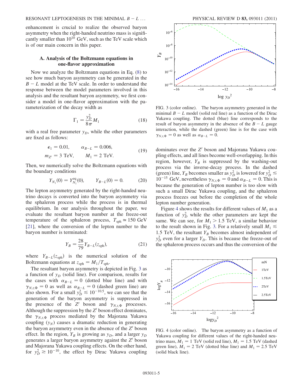#### RESONANT LEPTOGENESIS IN THE MINIMAL  $B - L$ ... PHYSICAL REVIEW D 83, 093011 (2011)

enhancement is crucial to realize the observed baryon asymmetry when the right-handed neutrino mass is significantly smaller than  $10^{10}$  GeV, such as the TeV scale which is of our main concern in this paper.

#### A. Analysis of the Boltzmann equations in one-flavor approximation

Now we analyze the Boltzmann equations in Eq. [\(8](#page-3-1)) to see how much baryon asymmetry can be generated in the  $B - L$  model at the TeV scale. In order to understand the response between the model parameters involved in this analysis and the resultant baryon asymmetry, we first consider a model in one-flavor approximation with the parameterization of the decay width as

$$
\Gamma_1 = \frac{y_D^2}{8\pi} M_1 \tag{18}
$$

with a real free parameter  $y_D$ , while the other parameters are fixed as follows:

$$
\epsilon_1 = 0.01,
$$
  $\alpha_{B-L} = 0.006,$  (19)

$$
m_{Z'} = 3 \text{ TeV}, \qquad M_1 = 2 \text{ TeV}.
$$
 (19)

Then, we numerically solve the Boltzmann equations with the boundary conditions

$$
Y_{N_1}(0) = Y_{N_1}^{\text{eq}}(0), \qquad Y_{B-L}(0) = 0. \tag{20}
$$

The lepton asymmetry generated by the right-handed neutrino decays is converted into the baryon asymmetry via the sphaleron process while the process is in thermal equilibrium. In our analysis throughout the paper, we evaluate the resultant baryon number at the freeze-out temperature of the sphaleron process,  $T_{sph} \approx 150 \text{ GeV}$ [\[21\]](#page-13-3), where the conversion of the lepton number to the baryon number is terminated:

$$
Y_B = \frac{28}{79} Y_{B-L}(z_{\rm sph}),\tag{21}
$$

where  $Y_{B-L}(z_{\rm sph})$  is the numerical solution of the Boltzmann equations at  $z_{\rm sph} = M_1/T_{\rm sph}$ .

The resultant baryon asymmetry is depicted in Fig. [3](#page-5-0) as a function of  $y_D$  (solid line). For comparison, results for the cases with  $\alpha_{B-L} = 0$  (dotted blue line) and with  $\gamma_{N,t,\Phi} = 0$  as well as  $\alpha_{B-L} = 0$  (dashed green line) are also shown. For a small  $y_D^2 \le 10^{-10.5}$ , we can see that the generation of the baryon asymmetry is suppressed in the presence of the Z' boson and  $\gamma_{N,t,\Phi}$  processes. Although the suppression by the  $Z'$  boson effect dominates, the  $\gamma_{N,t,\Phi}$  process mediated by the Majorana Yukawa coupling  $(y_N)$  causes a dramatic reduction in generating the baryon asymmetry even in the absence of the  $Z'$  boson effect. In the region,  $Y_B$  is growing as  $y_D$ , and a larger  $y_D$ generates a larger baryon asymmetry against the  $Z<sup>t</sup>$  boson and Majorana Yukawa coupling effects. On the other hand, for  $y_D^2 \ge 10^{-10}$ , the effect by Dirac Yukawa coupling

<span id="page-5-0"></span>

FIG. 3 (color online). The baryon asymmetry generated in the minimal  $B - L$  model (solid red line) as a function of the Dirac Yukawa coupling. The dotted (blue) line corresponds to the result of baryon asymmetry in the absence of the  $B - L$  gauge interaction, while the dashed (green) line is for the case with  $\gamma_{N,t,\Phi} = 0$  as well as  $\alpha_{B-L} = 0$ .

dominates over the  $Z'$  boson and Majorana Yukawa coupling effects, and all lines become well-overlapping. In this region, however,  $Y_B$  is suppressed by the washing-out process via the inverse-decay process. In the dashed (green) line,  $Y_B$  becomes smaller as  $y_D^2$  is lowered for  $y_D^2 \leq$  $10^{-15}$  GeV, nevertheless  $\gamma_{N,t,\Phi} = 0$  and  $\alpha_{B-L} = 0$ . This is because the generation of lepton number is too slow with such a small Dirac Yukawa coupling, and the sphaleron process freezes out before the completion of the whole lepton number generation.

Figure [4](#page-5-1) shows the results for different values of  $M_1$  as a function of  $y_D^2$  while the other parameters are kept the same. We can see, for  $M_1 > 1.5$  TeV, a similar behavior to the result shown in Fig. [3.](#page-5-0) For a relatively small  $M_1 \leq$ 1.5 TeV, the resultant  $Y_B$  becomes almost independent of  $y_D^2$  even for a larger  $Y_D$ . This is because the freeze-out of the sphaleron process occurs and thus the conversion of the

<span id="page-5-1"></span>

FIG. 4 (color online). The baryon asymmetry as a function of Yukawa coupling for different values of the right-handed neutrino mass,  $M_1 = 1$  TeV (solid red line),  $M_1 = 1.5$  TeV (dashed green line),  $M_1 = 2 \text{ TeV}$  (dotted blue line) and  $M_1 = 2.5 \text{ TeV}$ (solid black line).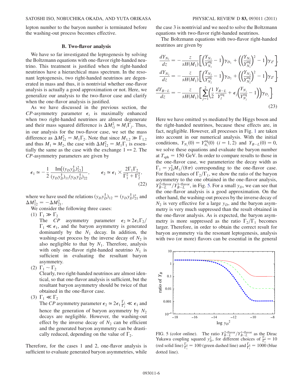lepton number to the baryon number is terminated before the washing-out process becomes effective.

#### B. Two-flavor analysis

We have so far investigated the leptogenesis by solving the Boltzmann equations with one-flavor right-handed neutrino. This treatment is justified when the right-handed neutrinos have a hierarchical mass spectrum. In the resonant leptogenesis, two right-handed neutrinos are degenerated in mass and thus, it is nontrivial whether one-flavor analysis is actually a good approximation or not. Here, we generalize our analysis to the two-flavor case and clarify when the one-flavor analysis is justified.

As we have discussed in the previous section, the  $CP$ -asymmetry parameter  $\epsilon_i$  is maximally enhanced when two right-handed neutrinos are almost degenerate and their mass squared difference is  $\Delta M_{ij}^2 \simeq M_i \Gamma_j$ . Thus, in our analysis for the two-flavor case, we set the mass difference as  $\Delta M_{12}^2 = M_1 \Gamma_2$ . Note that since  $M_{1,2} \gg \Gamma_{1,2}$ and thus  $M_1 \simeq M_2$ , the case with  $\Delta M_{12}^2 = M_1 \Gamma_1$  is essentially the same as the case with the exchange  $1 \leftrightarrow 2$ . The CP-asymmetry parameters are given by

$$
\epsilon_1 \simeq -\frac{1}{2} \frac{\text{Im}[(y_D y_D^{\dagger})_{12}^2]}{(y_D y_D^{\dagger})_{11} (y_D y_D^{\dagger})_{22}}, \qquad \epsilon_2 \simeq \epsilon_1 \times \frac{2\Gamma_1 \Gamma_2}{\Gamma_1^2 + \Gamma_2^2},
$$
\n(22)

where we have used the relations  $(y_D y_D^{\dagger})_{12} = (y_D y_D^{\dagger})_{21}^*$  and  $\Delta M_{12}^2 = -\Delta M_{21}^2$ .

We consider the following three cases:

(1)  $\Gamma_1 \gg \Gamma_2$ 

The *CP* asymmetry parameter  $\epsilon_2 \approx 2\epsilon_1 \Gamma_2$ /  $\Gamma_1 \ll \epsilon_1$ , and the baryon asymmetry is generated dominantly by the  $N_1$  decay. In addition, the washing-out process by the inverse decay of  $N_2$  is also negligible to that by  $N_1$ . Therefore, analysis with only one-flavor right-handed neutrino  $N_1$  is sufficient in evaluating the resultant baryon asymmetry.

(2)  $\Gamma_1 \sim \Gamma_2$ 

Clearly, two right-handed neutrinos are almost identical, so that one-flavor analysis is sufficient, but the resultant baryon asymmetry should be twice of that obtained in the one-flavor case.

(3)  $\Gamma_1 \ll \Gamma_2$ 

The CP asymmetry parameter  $\epsilon_2 \simeq 2\epsilon_1 \frac{\Gamma_1}{\Gamma_2} \ll \epsilon_1$  and hence the generation of baryon asymmetry by  $N_2$ decays are negligible. However, the washing-out effect by the inverse decay of  $N_2$  can be efficient and the generated baryon asymmetry can be drastically reduced, depending on the value of  $\Gamma_2$ .

Therefore, for the cases 1 and 2, one-flavor analysis is sufficient to evaluate generated baryon asymmetries, while the case 3 is nontrivial and we need to solve the Boltzmann equations with two-flavor right-handed neutrinos.

The Boltzmann equations with two-flavor right-handed neutrinos are given by

<span id="page-6-1"></span>
$$
\frac{dY_{N_1}}{dz} = -\frac{z}{sH(M_1)} \left[ \left( \frac{Y_{N_1}}{Y_{N_1}^{eq}} - 1 \right) \gamma_{D_1} + \left( \left( \frac{Y_{N_1}}{Y_{N_1}^{eq}} \right)^2 - 1 \right) \gamma_{Z'} \right],
$$
\n
$$
\frac{dY_{N_2}}{dz} = -\frac{z}{sH(M_1)} \left[ \left( \frac{Y_{N_2}}{Y_{N_2}^{eq}} - 1 \right) \gamma_{D_2} + \left( \left( \frac{Y_{N_2}}{Y_{N_2}^{eq}} \right)^2 - 1 \right) \gamma_{Z'} \right],
$$
\n
$$
\frac{dY_{B-L}}{dz} = -\frac{z}{sH(M_1)} \left[ \sum_{j=1}^2 \left( \frac{1}{2} \frac{Y_{B-L}}{Y_l^{eq}} + \epsilon_j \left( \frac{Y_{N_j}}{Y_{N_j}^{eq}} - 1 \right) \right) \gamma_{D_j} \right].
$$
\n(23)

Here we have omitted  $\gamma s$  mediated by the Higgs boson and the right-handed neutrinos, because these effects are, in fact, negligible. However, all processes in Fig. [1](#page-4-0) are taken into account in our numerical analysis. With the initial conditions,  $Y_{N_i}(0) = Y_{N_i}^{\text{eq}}(0)$   $(i = 1, 2)$  and  $Y_{B-L}(0) = 0$ , we solve these equations and evaluate the baryon number at  $T_{\text{sph}} = 150 \text{ GeV}$ . In order to compare results to those in the one-flavor case, we parameterize the decay width as  $\Gamma_1 = y_D^2 M_1/(8\pi)$  corresponding to the one-flavor case. For fixed values of  $\Gamma_2/\Gamma_1$ , we show the ratio of the baryon asymmetry to the one obtained in the one-flavor analysis,  $Y_{B-L}^{2-flavor}/Y_{B-L}^{1-flavor}$ , in Fig. [5.](#page-6-0) For a small  $y_D$ , we can see that the one-flavor analysis is a good approximation. On the other hand, the washing-out process by the inverse decay of  $N_2$  is very effective for a large  $y_D$ , and the baryon asymmetry is very much suppressed than the result obtained in the one-flavor analysis. As is expected, the baryon asymmetry is more suppressed as the ratio  $\Gamma_2/\Gamma_1$  becomes larger. Therefore, in order to obtain the correct result for baryon asymmetry via the resonant leptogenesis, analysis with two (or more) flavors can be essential in the general

<span id="page-6-0"></span>

FIG. 5 (color online). The ratio  $Y_{B-L}^{2-flavor}/Y_{B-L}^{1-flavor}$  as the Dirac Yukawa coupling squared  $y_D^2$ , for different choices of  $\frac{\Gamma_2}{\Gamma_1} = 10$ (red solid line)  $\frac{\Gamma_2}{\Gamma_1} = 100$  (green dashed line) and  $\frac{\Gamma_2}{\Gamma_1} = 1000$  (blue dotted line).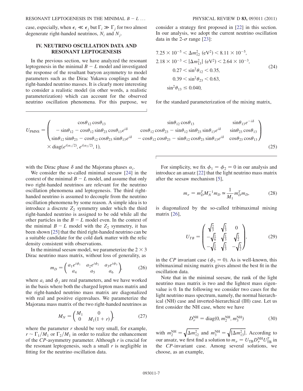case, especially, when  $\epsilon_i \ll \epsilon_j$  but  $\Gamma_i \gg \Gamma_j$  for two almost degenerate right-handed neutrinos,  $N_i$  and  $N_j$ .

### <span id="page-7-0"></span>IV. NEUTRINO OSCILLATION DATA AND RESONANT LEPTOGENESIS

In the previous section, we have analyzed the resonant leptogenesis in the minimal  $B - L$  model and investigated the response of the resultant baryon asymmetry to model parameters such as the Dirac Yukawa couplings and the right-handed neutrino masses. It is clearly more interesting to consider a realistic model (in other words, a realistic parameterization) which can account for the observed neutrino oscillation phenomena. For this purpose, we consider a strategy first proposed in [\[22\]](#page-13-4) in this section. In our analysis, we adopt the current neutrino oscillation data in the 2- $\sigma$  range [[23](#page-13-5)]:

$$
7.25 \times 10^{-5} < \Delta m_{12}^2 \text{ (eV}^2) < 8.11 \times 10^{-5},
$$
\n
$$
2.18 \times 10^{-3} < |\Delta m_{13}^2| \text{ (eV}^2) < 2.64 \times 10^{-3},
$$
\n
$$
0.27 < \sin^2 \theta_{12} < 0.35,
$$
\n
$$
0.39 < \sin^2 \theta_{23} < 0.63,
$$
\n
$$
\sin^2 \theta_{13} \le 0.040,
$$
\n(24)

for the standard parameterization of the mixing matrix,

$$
U_{\text{PMNS}} = \begin{pmatrix} \cos\theta_{12}\cos\theta_{13} & \sin\theta_{12}\cos\theta_{13} & \sin\theta_{13}e^{-i\delta} \\ -\sin\theta_{12} - \cos\theta_{12}\sin\theta_{23}\cos\theta_{13}e^{i\delta} & \cos\theta_{12}\cos\theta_{23} - \sin\theta_{12}\sin\theta_{23}\sin\theta_{13}e^{i\delta} & \sin\theta_{23}\cos\theta_{13} \\ \sin\theta_{12}\sin\theta_{23} - \cos\theta_{12}\cos\theta_{23}\sin\theta_{13}e^{i\delta} & -\cos\theta_{12}\cos\theta_{23} - \sin\theta_{12}\cos\theta_{23}\sin\theta_{13}e^{i\delta} & \cos\theta_{23}\cos\theta_{13} \end{pmatrix}
$$
  
  $\times$  diag( $e^{i(\alpha_1/2)}$ ,  $e^{i(\alpha_2/2)}$ , 1), (25)

with the Dirac phase  $\delta$  and the Majorana phases  $\alpha_i$ .

We consider the so-called minimal seesaw [\[24\]](#page-13-6) in the context of the minimal  $B - L$  model, and assume that only two right-handed neutrinos are relevant for the neutrino oscillation phenomena and leptogenesis. The third righthanded neutrino is assumed to decouple from the neutrino oscillation phenomena by some reason. A simple idea is to introduce a discrete  $Z_2$  symmetry under which the third right-handed neutrino is assigned to be odd while all the other particles in the  $B - L$  model even. In the context of the minimal  $B - L$  model with the  $Z_2$  symmetry, it has been shown [[25](#page-13-7)] that the third right-handed neutrino can be a suitable candidate for the cold dark matter with the relic density consistent with observations.

In the minimal seesaw model, we parameterize the  $2 \times 3$ Dirac neutrino mass matrix, without loss of generality, as

$$
m_D = \begin{pmatrix} a_1 e^{i\phi_1} & a_2 e^{i\phi_2} & a_3 e^{i\phi_3} \\ a_4 & a_5 & a_6 \end{pmatrix},
$$
 (26)

where  $a_i$  and  $\phi_j$  are real parameters, and we have worked in the basis where both the charged lepton mass matrix and the right-handed neutrino mass matrix are diagonalized with real and positive eigenvalues. We parameterize the Majorana mass matrix of the two right-handed neutrinos as

$$
M_N = \begin{pmatrix} M_1 & 0 \\ 0 & M_1(1+r) \end{pmatrix},\tag{27}
$$

where the parameter  $r$  should be very small, for example,  $r \sim \Gamma_1/M_1$  or  $\Gamma_2/M_1$  in order to realize the enhancement of the  $CP$ -asymmetry parameter. Although  $r$  is crucial for the resonant leptogenesis, such a small  $r$  is negligible in fitting for the neutrino oscillation data.

For simplicity, we fix  $\phi_1 = \phi_2 = 0$  in our analysis and introduce an ansatz [\[22\]](#page-13-4) that the light neutrino mass matrix after the seesaw mechanism [\[5](#page-12-4)],

$$
m_{\nu} = m_D^T M_N^{-1} m_D \simeq \frac{1}{M_1} m_D^T m_D,
$$
 (28)

is diagonalized by the so-called tribimaximal mixing matrix [[26](#page-13-8)],

$$
U_{TB} = \begin{pmatrix} \sqrt{\frac{2}{3}} & \sqrt{\frac{1}{3}} & 0\\ -\sqrt{\frac{1}{6}} & \sqrt{\frac{1}{3}} & \sqrt{\frac{1}{2}}\\ -\sqrt{\frac{1}{6}} & \sqrt{\frac{1}{3}} & -\sqrt{\frac{1}{2}} \end{pmatrix}, \tag{29}
$$

in the CP invariant case ( $\phi_3 = 0$ ). As is well-known, this tribimaximal mixing matrix gives almost the best fit in the oscillation data.

Note that in the minimal seesaw, the rank of the light neutrino mass matrix is two and the lightest mass eigenvalue is 0. In the following we consider two cases for the light neutrino mass spectrum, namely, the normal hierarchical (NH) case and inverted-hierarchical (IH) case. Let us first consider the NH case, where we have

$$
D_{\nu}^{\text{NH}} = \text{diag}(0, m_2^{\text{NH}}, m_3^{\text{NH}})
$$
 (30)

with  $m_2^{\text{NH}} = \sqrt{\Delta m_{12}^2}$  and  $m_3^{\text{NH}} = \sqrt{|\Delta m_{13}^2|}$ . According to our ansatz, we first find a solution to  $m_{\nu} = U_{\text{TB}} D_{\nu}^{\text{NH}} U_{\text{TB}}^T$  in the CP-invariant case. Among several solutions, we choose, as an example,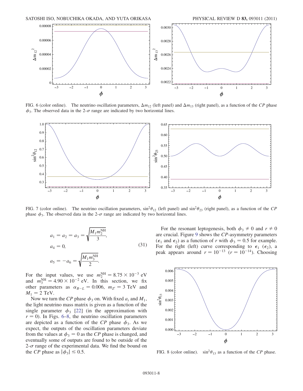<span id="page-8-0"></span>

FIG. 6 (color online). The neutrino oscillation parameters,  $\Delta m_{12}$  (left panel) and  $\Delta m_{13}$  (right panel), as a function of the CP phase  $\phi_3$ . The observed data in the 2- $\sigma$  range are indicated by two horizontal lines.



FIG. 7 (color online). The neutrino oscillation parameters,  $\sin^2\theta_{12}$  (left panel) and  $\sin^2\theta_{23}$  (right panel), as a function of the CP phase  $\phi_3$ . The observed data in the 2- $\sigma$  range are indicated by two horizontal lines.

$$
a_1 = a_2 = a_3 = \sqrt{\frac{M_1 m_2^{\text{NH}}}{3}},
$$
  
\n
$$
a_4 = 0,
$$
  
\n
$$
a_5 = -a_6 = \sqrt{\frac{M_1 m_3^{\text{NH}}}{2}}.
$$
\n(31)

For the input values, we use  $m_2^{\text{NH}} = 8.75 \times 10^{-3}$  eV and  $m_3^{\text{NH}} = 4.90 \times 10^{-2}$  eV. In this section, we fix other parameters as  $\alpha_{B-L} = 0.006$ ,  $m_{Z'} = 3 \text{ TeV}$  and  $M_1 = 2$  TeV.

Now we turn the CP phase  $\phi_3$  on. With fixed  $a_i$  and  $M_1$ , the light neutrino mass matrix is given as a function of the single parameter  $\phi_3$  [[22](#page-13-4)] (in the approximation with  $r = 0$ ). In Figs. [6–](#page-8-0)[8,](#page-8-1) the neutrino oscillation parameters are depicted as a function of the CP phase  $\phi_3$ . As we expect, the outputs of the oscillation parameters deviate from the values at  $\phi_3 = 0$  as the CP phase is changed, and eventually some of outputs are found to be outside of the  $2-\sigma$  range of the experimental data. We find the bound on the *CP* phase as  $|\phi_3| \leq 0.5$ .

For the resonant leptogenesis, both  $\phi_3 \neq 0$  and  $r \neq 0$ are crucial. Figure [9](#page-9-0) shows the CP-asymmetry parameters  $(\epsilon_1$  and  $\epsilon_2$ ) as a function of r with  $\phi_3 = 0.5$  for example. For the right (left) curve corresponding to  $\epsilon_1$  ( $\epsilon_2$ ), a peak appears around  $r = 10^{-13}$  ( $r = 10^{-14}$ ). Choosing

<span id="page-8-1"></span>

FIG. 8 (color online).  $\sin^2\theta_{13}$  as a function of the CP phase.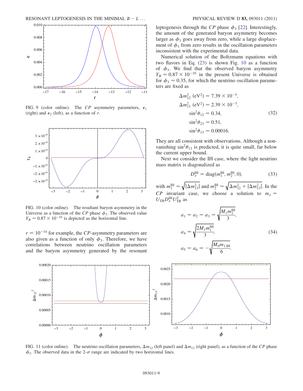<span id="page-9-0"></span>

FIG. 9 (color online). The CP asymmetry parameters,  $\epsilon_1$ (right) and  $\epsilon_2$  (left), as a function of r.

<span id="page-9-1"></span>

FIG. 10 (color online). The resultant baryon asymmetry in the Universe as a function of the CP phase  $\phi_3$ . The observed value  $Y_B = 0.87 \times 10^{-10}$  is depicted as the horizontal line.

 $r = 10^{-14}$  for example, the CP-asymmetry parameters are also given as a function of only  $\phi_3$ . Therefore, we have correlations between neutrino oscillation parameters and the baryon asymmetry generated by the resonant

leptogenesis through the CP phase  $\phi_3$  [\[22\]](#page-13-4). Interestingly, the amount of the generated baryon asymmetry becomes larger as  $\phi_3$  goes away from zero, while a large displacement of  $\phi_3$  from zero results in the oscillation parameters inconsistent with the experimental data.

Numerical solution of the Boltzmann equations with two flavors in Eq. ([23](#page-6-1)) is shown Fig. [10](#page-9-1) as a function of  $\phi_3$ . We find that the observed baryon asymmetry  $Y_B = 0.87 \times 10^{-10}$  in the present Universe is obtained for  $\phi_3 = 0.35$ , for which the neutrino oscillation parameters are fixed as

$$
\Delta m_{12}^2 \text{ (eV}^2) = 7.39 \times 10^{-5},
$$
  
\n
$$
\Delta m_{13}^2 \text{ (eV}^2) = 2.39 \times 10^{-3},
$$
  
\n
$$
\sin^2 \theta_{12} = 0.34,
$$
  
\n
$$
\sin^2 \theta_{23} = 0.51,
$$
  
\n
$$
\sin^2 \theta_{13} = 0.00016.
$$
 (32)

They are all consistent with observations. Although a nonvanishing  $\sin^2\theta_{13}$  is predicted, it is quite small, far below the current upper bound.

Next we consider the IH case, where the light neutrino mass matrix is diagonalized as

$$
D_{\nu}^{\rm IH} = \text{diag}(m_1^{\rm IH}, m_2^{\rm IH}, 0), \tag{33}
$$

with  $m_1^{\text{IH}} = \sqrt{|\Delta m_{13}^2|}$  and  $m_2^{\text{IH}} = \sqrt{\Delta m_{12}^2 + |\Delta m_{13}^2|}$ . In the  $CP$  invariant case, we choose a solution to  $m<sub>v</sub>$  =  $U_{\text{TB}} D_{\nu}^{\text{IH}} U_{\text{TB}}^{T}$  as

$$
a_1 = a_2 = a_3 = \sqrt{\frac{M_1 m_2^{\text{IH}}}{3}},
$$
  
\n
$$
a_4 = \sqrt{\frac{2M_1 m_1^{\text{IH}}}{3}},
$$
  
\n
$$
a_5 = a_6 = -\sqrt{\frac{M_0 m_{1,\text{IH}}}{6}}.
$$
\n(34)

<span id="page-9-2"></span>

FIG. 11 (color online). The neutrino oscillation parameters,  $\Delta m_{12}$  (left panel) and  $\Delta m_{13}$  (right panel), as a function of the CP phase  $\phi_3$ . The observed data in the 2- $\sigma$  range are indicated by two horizontal lines.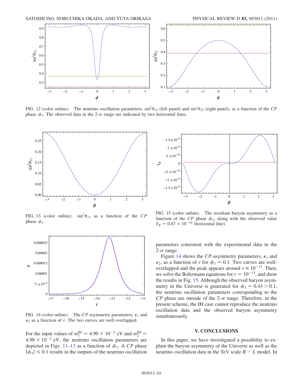

FIG. 12 (color online). The neutrino oscillation parameters,  $\sin^2\theta_{12}$  (left panel) and  $\sin^2\theta_{23}$  (right panel), as a function of the CP phase  $\phi_3$ . The observed data in the 2- $\sigma$  range are indicated by two horizontal lines.

<span id="page-10-0"></span>

FIG. 13 (color online).  $\sin^2\theta_{13}$  as a function of the CP phase  $\phi_3$ .

<span id="page-10-1"></span>

FIG. 14 (color online). The CP asymmetry parameters,  $\epsilon_1$  and  $\epsilon_2$  as a function of r. The two curves are well overlapped.

For the input values of  $m_1^{\text{IH}} = 4.90 \times 10^{-2}$  eV and  $m_2^{\text{IH}} =$  $4.98 \times 10^{-2}$  eV, the neutrino oscillation parameters are depicted in Figs. [11](#page-9-2)[–13](#page-10-0) as a function of  $\phi_3$ . A CP phase  $|\phi_3| \leq 0.1$  results in the outputs of the neutrino oscillation

<span id="page-10-2"></span>

FIG. 15 (color online). The resultant baryon asymmetry as a function of the CP phase  $\phi_3$ , along with the observed value  $Y_B = 0.87 \times 10^{-10}$  (horizontal line).

parameters consistent with the experimental data in the  $2-\sigma$  range.

Figure [14](#page-10-1) shows the CP-asymmetry parameters,  $\epsilon_1$  and  $\epsilon_2$ , as a function of r for  $\phi_3 = 0.1$ . Two curves are welloverlapped and the peak appears around  $r \approx 10^{-13}$ . Then, we solve the Boltzmann equations for  $r = 10^{-13}$ , and show the results in Fig. [15.](#page-10-2) Although the observed baryon asymmetry in the Universe is generated for  $\phi_3 = 0.43 > 0.1$ , the neutrino oscillation parameters corresponding to the  $CP$  phase are outside of the 2- $\sigma$  range. Therefore, in the present scheme, the IH case cannot reproduce the neutrino oscillation data and the observed baryon asymmetry simultaneously.

#### V. CONCLUSIONS

In this paper, we have investigated a possibility to explain the baryon asymmetry of the Universe as well as the neutrino oscillation data in the TeV scale  $B - L$  model. In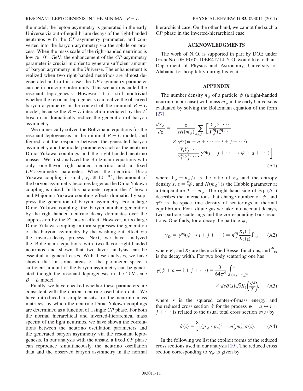the model, the lepton asymmetry is generated in the early Universe via out-of-equilibrium decays of the right-handed neutrinos with the CP-asymmetry parameter, and converted into the baryon asymmetry via the sphaleron process. When the mass scale of the right-handed neutrinos is low  $\leq 10^{10}$  GeV, the enhancement of the CP-asymmetry parameter is crucial in order to generate sufficient amount of baryon asymmetry in the Universe. The enhancement is realized when two right-handed neutrinos are almost degenerated and in this case, the CP-asymmetry parameter can be in principle order unity. This scenario is called the resonant leptogenesis. However, it is still nontrivial whether the resonant leptogenesis can realize the observed baryon asymmetry in the context of the minimal  $B - L$ model, because the  $B - L$  interaction mediated by the Z' boson can dramatically reduce the generation of baryon asymmetry.

We numerically solved the Boltzmann equations for the resonant leptogenesis in the minimal  $B - L$  model, and figured out the response between the generated baryon asymmetry and the model parameters such as the neutrino Dirac Yukawa couplings and the right-handed neutrino masses. We first analyzed the Boltzmann equations with only one-flavor right-handed neutrino and a fixed CP-asymmetry parameter. When the neutrino Dirac Yukawa coupling is small,  $y_D \le 10^{-10.5}$ , the amount of the baryon asymmetry becomes larger as the Dirac Yukawa coupling is raised. In this parameter region, the  $Z'$  boson and Majorana Yukawa coupling effects dramatically suppress the generation of baryon asymmetry. For a large Dirac Yukawa coupling, the baryon number generation by the right-handed neutrino decay dominates over the suppression by the  $Z'$  boson effect. However, a too large Dirac Yukawa coupling in turn suppresses the generation of the baryon asymmetry by the washing-out effect via the inverse-decay process. Next, we have analyzed the Boltzmann equations with two-flavor right-handed neutrinos and shown that two-flavor analysis can be essential in general cases. With these analyses, we have shown that in some areas of the parameter space a sufficient amount of the baryon asymmetry can be generated though the resonant leptogenesis in the TeV-scale  $B - L$  model.

Finally, we have checked whether these parameters are consistent with the current neutrino oscillation data. We have introduced a simple ansatz for the neutrino mass matrices, by which the neutrino Dirac Yukawa couplings are determined as a function of a single CP phase. For both the normal hierarchical and inverted-hierarchical mass spectra of the light neutrinos, we have shown the correlations between the neutrino oscillation parameters and the generated baryon asymmetry via the resonant leptogenesis. In our analysis with the ansatz, a fixed CP phase can reproduce simultaneously the neutrino oscillation data and the observed baryon asymmetry in the normal hierarchical case. On the other hand, we cannot find such a CP phase in the inverted-hierarchical case.

#### ACKNOWLEDGMENTS

The work of N. O. is supported in part by DOE under Grant No. DE-FG02-10ER41714. Y. O. would like to thank Department of Physics and Astronomy, University of Alabama for hospitality during his visit.

#### APPENDIX

The number density  $n_{\psi}$  of a particle  $\psi$  (a right-handed neutrino in our case) with mass  $m_{\psi}$  in the early Universe is evaluated by solving the Boltzmann equation of the form [\[27\]](#page-13-9),

<span id="page-11-0"></span>
$$
\frac{dY_{\psi}}{dz} = -\frac{z}{sH(m_{\psi})} \sum_{a,i,j,\dots} \left[ \frac{Y_{\psi}Y_{a} \cdots}{Y_{\psi}^{\text{eq}} Y_{a}^{\text{eq}} \cdots} \times \gamma^{\text{eq}}(\psi + a + \cdots \rightarrow i + j + \cdots) -\frac{Y_{i}Y_{j} \cdots}{Y_{i}^{\text{eq}} Y_{j}^{\text{eq}} \cdots} \gamma^{\text{eq}}(i + j + \cdots \rightarrow \psi + a + \cdots) \right],
$$
\n(A1)

where  $Y_{\psi} = n_{\psi}/s$  is the ratio of  $n_{\psi}$  and the entropy density  $s, z = \frac{m_{\psi}}{T}$ , and  $H(m_{\psi})$  is the Hubble parameter at a temperature  $T = m_{\psi}$ . The right hand side of Eq. ([A1\)](#page-11-0) describes the interactions that change number of  $\psi$ , and  $\gamma$ <sup>eq</sup> is the space-time density of scatterings in thermal equilibrium. For a dilute gas we take into account decays, two-particle scatterings and the corresponding back reactions. One finds, for a decay the particle  $\psi$ ,

$$
\gamma_D = \gamma^{\text{eq}}(\psi \to i + j + \cdots) = n_{\psi}^{\text{eq}} \frac{K_1(z)}{K_2(z)} \tilde{\Gamma}_{\text{rs}}, \quad \text{(A2)}
$$

where  $K_1$  and  $K_2$  are the modified Bessel functions, and  $\Gamma_{rs}$ is the decay width. For two body scattering one has

$$
\gamma(\psi + a \leftrightarrow i + j + \cdots) = \frac{T}{64\pi^4} \int_{(m_{\psi} + m_a)^2}^{\infty} \times ds \hat{\sigma}(s) \sqrt{s} K_1 \left(\frac{\sqrt{s}}{T}\right), \quad (A3)
$$

where s is the squared center-of-mass energy and the reduced cross section  $\hat{\sigma}$  for the process  $\psi + a \leftrightarrow i +$  $j + \cdots$  is related to the usual total cross section  $\sigma(s)$  by

$$
\hat{\sigma}(s) = \frac{8}{s} \left[ (p_{\psi} \cdot p_a)^2 - m_{\psi}^2 m_a^2 \right] \sigma(s). \tag{A4}
$$

In the following we list the explicit forms of the reduced cross sections used in our analysis [[19](#page-13-1)]. The reduced cross section corresponding to  $\gamma_N$  is given by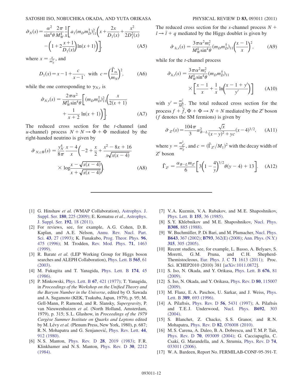$$
\hat{\sigma}_N(s) = \frac{\alpha^2}{\sin^4 \theta} \frac{2\pi}{M_W^4} \frac{1}{x} \left[ a_1 (m_D m_D^{\dagger})^2_{11} \left( x + \frac{2x}{D_1(x)} + \frac{x^2}{2D_1^2(x)} - \left( 1 + 2\frac{x+1}{D_1(x)} \right) \ln(x+1) \right) \right],
$$
\n(A5)

where  $x = \frac{s}{m_N^2}$ , and

$$
D_1(x) = x - 1 + \frac{c}{x - 1}
$$
, with  $c = \left(\frac{\tilde{\Gamma}_{rs}}{m_N}\right)^2$ , (A6)

while the one corresponding to  $\gamma_{N,t}$  is

$$
\hat{\sigma}_{N,t}(s) = \frac{2\pi\alpha^2}{M_W^4 \sin^4\theta} \left[ (m_D m_D^{\dagger})_{11}^2 \left( \frac{x}{2(x+1)} + \frac{1}{x+2} \ln(x+1) \right) \right].
$$
 (A7)

The reduced cross section for the t-channel (and u-channel) process  $N + N \rightarrow \Phi + \Phi$  mediated by the right-handed neutrino is given by

$$
\hat{\sigma}_{N,t,\Phi}(s) = \frac{y_N^4}{8\pi} \frac{x-4}{x} \left( -2 + \frac{x}{2} + \frac{x^2 - 8x + 16}{x\sqrt{x(x-4)}} \right) \times \log \frac{x - \sqrt{x(x-4)}}{x + \sqrt{x(x-4)}}.
$$
\n(A8)

The reduced cross section for the s-channel process  $N +$  $l \rightarrow \bar{t} + q$  mediated by the Higgs doublet is given by

$$
\hat{\sigma}_{h,s}(s) = \frac{3\pi\alpha^2 m_t^2}{M_W^4 \sin^4\theta} (m_D m_D^{\dagger})_{11} \left(\frac{x-1}{x}\right)^2, \tag{A9}
$$

while for the *t*-channel process

$$
\hat{\sigma}_{h,t}(s) = \frac{3\pi\alpha^2 m_t^2}{M_W^4 \sin^4\theta} (m_D m_D^{\dagger})_{11} \times \left[ \frac{x-1}{x} + \frac{1}{x} \ln\left(\frac{x-1+y'}{y'}\right) \right]
$$
(A10)

with  $y' = \frac{m_h^2}{M_{1}^2}$ . The total reduced cross section for the process  $f + \overline{f}$ ,  $\Phi + \Phi \rightarrow N + N$  mediated by the Z' boson (f denotes the SM fermions) is given by

$$
\hat{\sigma}_{Z'}(s) = \frac{104\pi}{3} \alpha_{B-L}^2 \frac{\sqrt{x}}{(x-y)^2 + ye^{(x-4)^{3/2}}, \quad \text{(A11)}
$$

where  $y = \frac{m_{Z'}^2}{m_N^2}$ , and  $c = (\tilde{\Gamma}_{Z'}/M_1)^2$  with the decay width of  $Z'$  boson

$$
\tilde{\Gamma}_{Z'} = \frac{\alpha_{B-L} m_{Z'}}{6} \left[ 3 \left( 1 - \frac{4}{y} \right)^{3/2} \theta(y - 4) + 13 \right]. \tag{A12}
$$

- <span id="page-12-0"></span>[1] G. Hinshaw et al. (WMAP Collaboration), [Astrophys. J.](http://dx.doi.org/10.1088/0067-0049/180/2/225) Suppl. Ser. 180[, 225 \(2009\)](http://dx.doi.org/10.1088/0067-0049/180/2/225); E. Komatsu et al., [Astrophys.](http://dx.doi.org/10.1088/0067-0049/192/2/18) [J. Suppl. Ser.](http://dx.doi.org/10.1088/0067-0049/192/2/18) 192, 18 (2011).
- <span id="page-12-1"></span>[2] For reviews, see, for example, A. G. Cohen, D. B. Kaplan, and A. E. Nelson, [Annu. Rev. Nucl. Part.](http://dx.doi.org/10.1146/annurev.ns.43.120193.000331) Sci. 43[, 27 \(1993\)](http://dx.doi.org/10.1146/annurev.ns.43.120193.000331); K. Funakubo, [Prog. Theor. Phys.](http://dx.doi.org/10.1143/PTP.96.475) 96, [475 \(1996\);](http://dx.doi.org/10.1143/PTP.96.475) M. Trodden, [Rev. Mod. Phys.](http://dx.doi.org/10.1103/RevModPhys.71.1463) 71, 1463 [\(1999\)](http://dx.doi.org/10.1103/RevModPhys.71.1463).
- <span id="page-12-2"></span>[3] R. Barate et al. (LEP Working Group for Higgs boson searches and ALEPH Collaboration), [Phys. Lett. B](http://dx.doi.org/10.1016/S0370-2693(03)00614-2) 565, 61 [\(2003\)](http://dx.doi.org/10.1016/S0370-2693(03)00614-2).
- <span id="page-12-3"></span>[4] M. Fukugita and T. Yanagida, [Phys. Lett. B](http://dx.doi.org/10.1016/0370-2693(86)91126-3) 174, 45 [\(1986\)](http://dx.doi.org/10.1016/0370-2693(86)91126-3).
- <span id="page-12-4"></span>[5] P. Minkowski, [Phys. Lett. B](http://dx.doi.org/10.1016/0370-2693(77)90435-X) 67, 421 (1977); T. Yanagida, in Proceedings of the Workshop on the Unified Theory and the Baryon Number in the Universe, edited by O. Sawada and A. Sugamoto (KEK, Tsukuba, Japan, 1979), p. 95; M. Gell-Mann, P. Ramond, and R. Slansky, Supergravity, P. van Nieuwenhuizen et al. (North Holland, Amsterdam, 1979), p. 315; S. L. Glashow, in Proceedings of the 1979 Cargèse Summer Institute on Quarks and Leptons edited by M. Lévy et al. (Plenum Press, New York, 1980), p. 687; R. N. Mohapatra and G. Senjanović, [Phys. Rev. Lett.](http://dx.doi.org/10.1103/PhysRevLett.44.912) 44, [912 \(1980\)](http://dx.doi.org/10.1103/PhysRevLett.44.912).
- <span id="page-12-5"></span>[6] N.S. Manton, Phys. Rev. D 28[, 2019 \(1983\);](http://dx.doi.org/10.1103/PhysRevD.28.2019) F.R. Klinkhamer and N. S. Manton, [Phys. Rev. D](http://dx.doi.org/10.1103/PhysRevD.30.2212) 30, 2212 [\(1984\)](http://dx.doi.org/10.1103/PhysRevD.30.2212).
- <span id="page-12-6"></span>[7] V. A. Kuzmin, V. A. Rubakov, and M. E. Shaposhnikov, [Phys. Lett. B](http://dx.doi.org/10.1016/0370-2693(85)91028-7) 155, 36 (1985).
- <span id="page-12-7"></span>[8] S. Y. Khlebnikov and M. E. Shaposhnikov, [Nucl. Phys.](http://dx.doi.org/10.1016/0550-3213(88)90133-2) B308[, 885 \(1988\)](http://dx.doi.org/10.1016/0550-3213(88)90133-2).
- <span id="page-12-8"></span>[9] W. Buchmüller, P. Di Bari, and M. Plumacher, [Nucl. Phys.](http://dx.doi.org/10.1016/S0550-3213(02)00737-X) B643[, 367 \(2002\)](http://dx.doi.org/10.1016/S0550-3213(02)00737-X); B793[, 362\(E\) \(2008\)](http://dx.doi.org/10.1016/j.nuclphysb.2007.11.030); [Ann. Phys. \(N.Y.\)](http://dx.doi.org/10.1016/j.aop.2004.02.003) 315[, 305 \(2005\).](http://dx.doi.org/10.1016/j.aop.2004.02.003)
- <span id="page-12-9"></span>[10] Recent studies, see, for example, L. Basso, A. Belyaev, S. Moretti, G.M. Pruna, and C.H. Shepherd-Themistocleous, [Eur. Phys. J. C](http://dx.doi.org/10.1140/epjc/s10052-011-1613-6) 71 1613 (2011); Proc. Sci. ICHEP2010 (2010) 381 [\[arXiv:1011.0872\]](http://arXiv.org/abs/1011.0872).
- <span id="page-12-10"></span>[11] S. Iso, N. Okada, and Y. Orikasa, [Phys. Lett. B](http://dx.doi.org/10.1016/j.physletb.2009.04.046) **676**, 81 [\(2009\)](http://dx.doi.org/10.1016/j.physletb.2009.04.046).
- <span id="page-12-11"></span>[12] S. Iso, N. Okada, and Y. Orikasa, [Phys. Rev. D](http://dx.doi.org/10.1103/PhysRevD.80.115007) 80, 115007 [\(2009\)](http://dx.doi.org/10.1103/PhysRevD.80.115007).
- <span id="page-12-12"></span>[13] M. Flanz, E. A. Paschos, U. Sarkar, and J. Weiss, [Phys.](http://dx.doi.org/10.1016/S0370-2693(96)01337-8) Lett. B 389[, 693 \(1996\)](http://dx.doi.org/10.1016/S0370-2693(96)01337-8).
- <span id="page-12-13"></span>[14] A. Pilaftsis, Phys. Rev. D 56[, 5431 \(1997\);](http://dx.doi.org/10.1103/PhysRevD.56.5431) A. Pilaftsis and T.E.J. Underwood, [Nucl. Phys.](http://dx.doi.org/10.1016/j.nuclphysb.2004.05.029) **B692**, 303 [\(2004\)](http://dx.doi.org/10.1016/j.nuclphysb.2004.05.029).
- <span id="page-12-14"></span>[15] S. Blanchet, Z. Chacko, S.S. Granor, and R.N. Mohapatra, Phys. Rev. D 82[, 076008 \(2010\)](http://dx.doi.org/10.1103/PhysRevD.82.076008).
- <span id="page-12-15"></span>[16] M. S. Carena, A. Daleo, B. A. Dobrescu, and T. M. P. Tait, Phys. Rev. D 70[, 093009 \(2004\)](http://dx.doi.org/10.1103/PhysRevD.70.093009); G. Cacciapaglia, C. Csaki, G. Marandella, and A. Strumia, [Phys. Rev. D](http://dx.doi.org/10.1103/PhysRevD.74.033011) 74, [033011 \(2006\).](http://dx.doi.org/10.1103/PhysRevD.74.033011)
- <span id="page-12-16"></span>[17] W. A. Bardeen, Report No. FERMILAB-CONF-95-391-T.